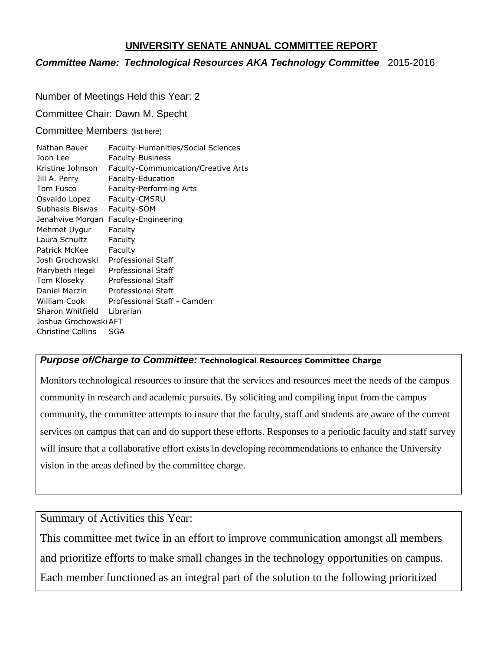#### **UNIVERSITY SENATE ANNUAL COMMITTEE REPORT**

### *Committee Name: Technological Resources AKA Technology Committee* 2015-2016

Number of Meetings Held this Year: 2

Committee Chair: Dawn M. Specht

Committee Members: (list here)

| Nathan Bauer          | Faculty-Humanities/Social Sciences         |
|-----------------------|--------------------------------------------|
| Jooh Lee              | <b>Faculty-Business</b>                    |
| Kristine Johnson      | <b>Faculty-Communication/Creative Arts</b> |
| Jill A. Perry         | Faculty-Education                          |
| Tom Fusco             | Faculty-Performing Arts                    |
| Osvaldo Lopez         | Faculty-CMSRU                              |
| Subhasis Biswas       | Faculty-SOM                                |
| Jenahvive Morgan      | Faculty-Engineering                        |
| Mehmet Uygur          | Faculty                                    |
| Laura Schultz         | Faculty                                    |
| Patrick McKee         | Faculty                                    |
| Josh Grochowski       | Professional Staff                         |
| Marybeth Hegel        | <b>Professional Staff</b>                  |
| Tom Kloseky           | <b>Professional Staff</b>                  |
| Daniel Marzin         | <b>Professional Staff</b>                  |
| <b>William Cook</b>   | Professional Staff - Camden                |
| Sharon Whitfield      | Librarian                                  |
| Joshua Grochowski AFT |                                            |
| Christine Collins     | SGA                                        |

#### *Purpose of/Charge to Committee:* **Technological Resources Committee Charge**

Monitors technological resources to insure that the services and resources meet the needs of the campus community in research and academic pursuits. By soliciting and compiling input from the campus community, the committee attempts to insure that the faculty, staff and students are aware of the current services on campus that can and do support these efforts. Responses to a periodic faculty and staff survey will insure that a collaborative effort exists in developing recommendations to enhance the University vision in the areas defined by the committee charge.

Summary of Activities this Year:

This committee met twice in an effort to improve communication amongst all members and prioritize efforts to make small changes in the technology opportunities on campus. Each member functioned as an integral part of the solution to the following prioritized